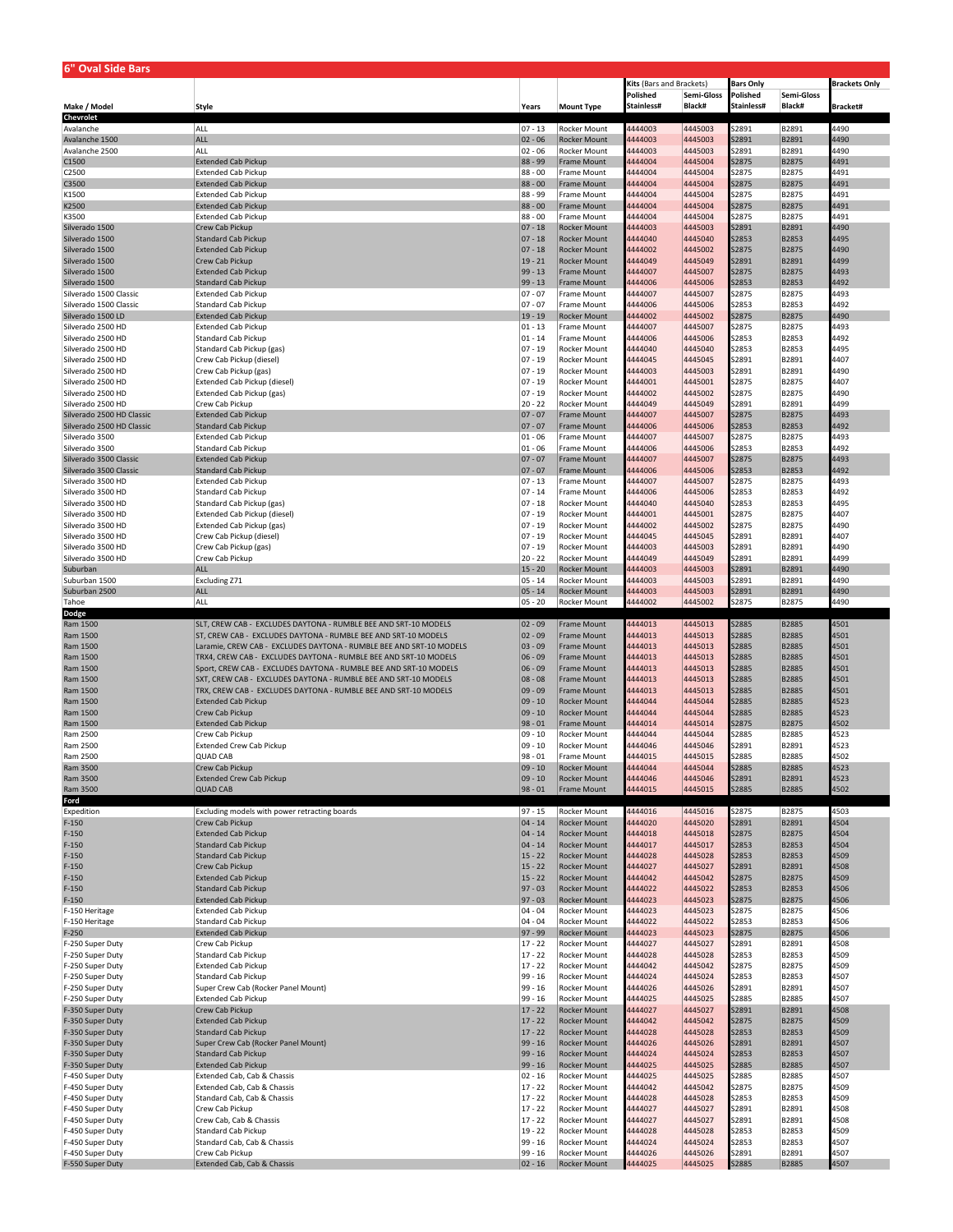| 6" Oval Side Bars                        |                                                                                                                                   |                          |                                            |                          |                    |                       |                       |                      |
|------------------------------------------|-----------------------------------------------------------------------------------------------------------------------------------|--------------------------|--------------------------------------------|--------------------------|--------------------|-----------------------|-----------------------|----------------------|
|                                          |                                                                                                                                   |                          |                                            | Kits (Bars and Brackets) |                    | <b>Bars Only</b>      |                       | <b>Brackets Only</b> |
|                                          |                                                                                                                                   |                          |                                            | Polished                 | Semi-Gloss         | Polished              | Semi-Gloss            |                      |
| Make / Model                             | Style                                                                                                                             | Years                    | <b>Mount Type</b>                          | Stainless#               | Black#             | Stainless#            | Black#                | Bracket#             |
| <b>Chevrolet</b>                         |                                                                                                                                   |                          |                                            |                          |                    |                       |                       |                      |
| Avalanche<br>Avalanche 1500              | ALL<br><b>ALL</b>                                                                                                                 | 07 - 13<br>$ 02 - 06$    | Rocker Mount<br>Rocker Mount               | 4444003<br>4444003       | 4445003<br>4445003 | 52891<br>S2891        | B2891<br>B2891        | 4490<br>4490         |
| Avalanche 2500                           | <b>ALL</b>                                                                                                                        | $02 - 06$                | Rocker Mount                               | 4444003                  | 4445003            | S2891                 | B2891                 | 4490                 |
| C1500                                    | <b>Extended Cab Pickup</b>                                                                                                        | 88 - 99                  | Frame Mount                                | 4444004                  | 4445004            | S2875                 | B2875                 | 4491                 |
| C2500                                    | <b>Extended Cab Pickup</b>                                                                                                        | 88 - 00                  | Frame Mount                                | 4444004                  | 4445004            | S2875                 | B2875                 | 4491                 |
| C3500                                    | <b>Extended Cab Pickup</b>                                                                                                        | 88 - 00                  | Frame Mount                                | 4444004                  | 4445004            | S2875                 | B2875                 | 4491                 |
| K1500                                    | <b>Extended Cab Pickup</b>                                                                                                        | 88 - 99                  | Frame Mount                                | 4444004                  | 4445004            | S2875                 | B2875                 | 4491                 |
| K2500<br>K3500                           | <b>Extended Cab Pickup</b><br><b>Extended Cab Pickup</b>                                                                          | $88 - 00$<br>88 - 00     | Frame Mount<br>Frame Mount                 | 4444004<br>4444004       | 4445004<br>4445004 | S2875<br>S2875        | B2875<br>B2875        | 4491<br>4491         |
| Silverado 1500                           | Crew Cab Pickup                                                                                                                   | $ 07 - 18$               | <b>Rocker Mount</b>                        | 4444003                  | 4445003            | S2891                 | B2891                 | 4490                 |
| Silverado 1500                           | <b>Standard Cab Pickup</b>                                                                                                        | $ 07 - 18$               | <b>Rocker Mount</b>                        | 4444040                  | 4445040            | S2853                 | B2853                 | 4495                 |
| Silverado 1500                           | <b>Extended Cab Pickup</b>                                                                                                        | $ 07 - 18$               | <b>Rocker Mount</b>                        | 4444002                  | 4445002            | S2875                 | B2875                 | 4490                 |
| Silverado 1500                           | Crew Cab Pickup                                                                                                                   | $19 - 21$                | <b>Rocker Mount</b>                        | 4444049                  | 4445049            | S2891                 | B2891                 | 4499                 |
| Silverado 1500                           | <b>Extended Cab Pickup</b>                                                                                                        | $99 - 13$                | <b>Frame Mount</b>                         | 4444007                  | 4445007            | <b>S2875</b>          | <b>B2875</b>          | 4493                 |
| Silverado 1500<br>Silverado 1500 Classic | <b>Standard Cab Pickup</b><br><b>Extended Cab Pickup</b>                                                                          | $99 - 13$<br>$ 07 - 07$  | Frame Mount<br>Frame Mount                 | 4444006<br>4444007       | 4445006<br>4445007 | S2853<br>S2875        | B2853<br>B2875        | 4492<br>4493         |
| Silverado 1500 Classic                   | <b>Standard Cab Pickup</b>                                                                                                        | $ 07 - 07$               | Frame Mount                                | 4444006                  | 4445006            | S2853                 | B2853                 | 4492                 |
| Silverado 1500 LD                        | <b>Extended Cab Pickup</b>                                                                                                        | $19 - 19$                | Rocker Mount                               | 4444002                  | 4445002            | <b>S2875</b>          | B2875                 | 4490                 |
| Silverado 2500 HD                        | <b>Extended Cab Pickup</b>                                                                                                        | $ 01 - 13$               | Frame Mount                                | 4444007                  | 4445007            | S2875                 | <b>B2875</b>          | 4493                 |
| Silverado 2500 HD                        | Standard Cab Pickup                                                                                                               | $ 01 - 14$               | Frame Mount                                | 4444006                  | 4445006            | S2853                 | B2853                 | 4492                 |
| Silverado 2500 HD                        | Standard Cab Pickup (gas)                                                                                                         | $ 07 - 19$               | Rocker Mount                               | 4444040                  | 4445040            | S2853                 | B2853                 | 4495                 |
| Silverado 2500 HD<br>Silverado 2500 HD   | Crew Cab Pickup (diesel)<br>Crew Cab Pickup (gas)                                                                                 | $ 07 - 19$<br>$ 07 - 19$ | Rocker Mount<br>Rocker Mount               | 4444045<br>4444003       | 4445045<br>4445003 | S2891<br>S2891        | B2891<br>B2891        | 4407<br>4490         |
| Silverado 2500 HD                        | Extended Cab Pickup (diesel)                                                                                                      | $ 07 - 19$               | Rocker Mount                               | 4444001                  | 4445001            | S2875                 | B2875                 | 1407                 |
| Silverado 2500 HD                        | Extended Cab Pickup (gas)                                                                                                         | $ 07 - 19$               | Rocker Mount                               | 4444002                  | 4445002            | S2875                 | B2875                 | 4490                 |
| Silverado 2500 HD                        | Crew Cab Pickup                                                                                                                   | $20 - 22$                | Rocker Mount                               | 4444049                  | 4445049            | S2891                 | B2891                 | 4499                 |
| Silverado 2500 HD Classic                | <b>Extended Cab Pickup</b>                                                                                                        | $ 07 - 07$               | Frame Mount                                | 4444007                  | 4445007            | S2875                 | B2875                 | 4493                 |
| Silverado 2500 HD Classic                | <b>Standard Cab Pickup</b>                                                                                                        | $07 - 07$                | Frame Mount                                | 4444006                  | 4445006            | <b>S2853</b>          | B2853                 | 4492                 |
| Silverado 3500                           | <b>Extended Cab Pickup</b>                                                                                                        | $ 01 - 06$               | Frame Mount                                | 4444007                  | 4445007            | 32875                 | B2875                 | 4493                 |
| Silverado 3500<br>Silverado 3500 Classic | <b>Standard Cab Pickup</b>                                                                                                        | $ 01 - 06$<br>$ 07 - 07$ | Frame Mount                                | 4444006<br>4444007       | 4445006<br>4445007 | S2853<br>S2875        | B2853<br><b>B2875</b> | 4492<br>4493         |
| Silverado 3500 Classic                   | <b>Extended Cab Pickup</b><br><b>Standard Cab Pickup</b>                                                                          | $07 - 07$                | Frame Mount<br>Frame Mount                 | 4444006                  | 4445006            | <b>S2853</b>          | B2853                 | 1492                 |
| Silverado 3500 HD                        | <b>Extended Cab Pickup</b>                                                                                                        | $ 07 - 13$               | Frame Mount                                | 4444007                  | 4445007            | 52875                 | B2875                 | 4493                 |
| Silverado 3500 HD                        | <b>Standard Cab Pickup</b>                                                                                                        | $ 07 - 14$               | Frame Mount                                | 4444006                  | 4445006            | S2853                 | B2853                 | 4492                 |
| Silverado 3500 HD                        | Standard Cab Pickup (gas)                                                                                                         | $ 07 - 18$               | Rocker Mount                               | 4444040                  | 4445040            | S2853                 | B2853                 | 1495                 |
| Silverado 3500 HD                        | Extended Cab Pickup (diesel)                                                                                                      | $ 07 - 19$               | Rocker Mount                               | 4444001                  | 4445001            | S2875                 | B2875                 | 4407                 |
| Silverado 3500 HD                        | Extended Cab Pickup (gas)                                                                                                         | $ 07 - 19$               | Rocker Mount                               | 4444002                  | 4445002            | S2875                 | B2875                 | 4490                 |
| Silverado 3500 HD<br>Silverado 3500 HD   | Crew Cab Pickup (diesel)<br>Crew Cab Pickup (gas)                                                                                 | $ 07 - 19$<br>$ 07 - 19$ | Rocker Mount<br>Rocker Mount               | 4444045                  | 4445045<br>4445003 | S2891<br>S2891        | B2891<br>B2891        | 1407<br>4490         |
| Silverado 3500 HD                        | Crew Cab Pickup                                                                                                                   | $20 - 22$                | Rocker Mount                               | 4444003<br>4444049       | 4445049            | 52891                 | B2891                 | 4499                 |
| Suburban                                 | <b>ALL</b>                                                                                                                        | $15 - 20$                | Rocker Mount                               | 4444003                  | 4445003            | S2891                 | B2891                 | 4490                 |
| Suburban 1500                            | <b>Excluding Z71</b>                                                                                                              | 05 - 14                  | Rocker Mount                               | 4444003                  | 4445003            | 52891                 | B2891                 | 4490                 |
| Suburban 2500                            | ALL                                                                                                                               | $05 - 14$                | <b>Rocker Mount</b>                        | 4444003                  | 4445003            | S2891                 | B2891                 | 4490                 |
| Tahoe                                    | ALL                                                                                                                               | $ 05 - 20$               | Rocker Mount                               | 4444002                  | 4445002            | S2875                 | <b>B2875</b>          | 4490                 |
| Dodge                                    |                                                                                                                                   |                          |                                            |                          |                    |                       |                       | 4501                 |
| Ram 1500<br>Ram 1500                     | SLT, CREW CAB - EXCLUDES DAYTONA - RUMBLE BEE AND SRT-10 MODELS<br>ST, CREW CAB - EXCLUDES DAYTONA - RUMBLE BEE AND SRT-10 MODELS | $ 02 - 09$<br>$ 02 - 09$ | Frame Mount<br>Frame Mount                 | 4444013<br>4444013       | 4445013<br>4445013 | <b>S2885</b><br>S2885 | <b>B2885</b><br>B2885 | 4501                 |
| Ram 1500                                 | Laramie, CREW CAB - EXCLUDES DAYTONA - RUMBLE BEE AND SRT-10 MODELS                                                               | $ 03 - 09$               | Frame Mount                                | 4444013                  | 4445013            | <b>S2885</b>          | B2885                 | 4501                 |
| Ram 1500                                 | TRX4, CREW CAB - EXCLUDES DAYTONA - RUMBLE BEE AND SRT-10 MODELS                                                                  | $ 06 - 09$               | Frame Mount                                | 4444013                  | 4445013            | S2885                 | B2885                 | 4501                 |
| Ram 1500                                 | Sport, CREW CAB - EXCLUDES DAYTONA - RUMBLE BEE AND SRT-10 MODELS                                                                 | $06 - 09$                | <b>Frame Mount</b>                         | 4444013                  | 4445013            | <b>S2885</b>          | B2885                 | 4501                 |
| Ram 1500                                 | SXT, CREW CAB - EXCLUDES DAYTONA - RUMBLE BEE AND SRT-10 MODELS                                                                   | $ 08 - 08$               | Frame Mount                                | 4444013                  | 4445013            | S2885                 | B2885                 | 4501                 |
| Ram 1500                                 | TRX, CREW CAB - EXCLUDES DAYTONA - RUMBLE BEE AND SRT-10 MODELS                                                                   | $ 09 - 09$               | Frame Mount                                | 4444013                  | 4445013            | <b>S2885</b>          | B2885                 | 4501                 |
| Ram 1500<br>Ram 1500                     | <b>Extended Cab Pickup</b>                                                                                                        | $ 09 - 10$               | <b>Rocker Mount</b>                        | 4444044                  | 4445044            | <b>S2885</b>          | B2885                 | 4523<br>4523         |
| Ram 1500                                 | Crew Cab Pickup<br><b>Extended Cab Pickup</b>                                                                                     | $ 09 - 10$<br>$98 - 01$  | Rocker Mount<br>Frame Mount                | 4444044<br>4444014       | 4445044<br>4445014 | <b>S2885</b><br>S2875 | B2885<br>B2875        | 4502                 |
| Ram 2500                                 | Crew Cab Pickup                                                                                                                   | $09 - 10$                | Rocker Mount                               | 4444044                  | 4445044            | S2885                 | B2885                 | 4523                 |
| Ram 2500                                 | <b>Extended Crew Cab Pickup</b>                                                                                                   | $09 - 10$                | Rocker Mount                               | 4444046                  | 4445046            | S2891                 | B2891                 | 4523                 |
| Ram 2500                                 | <b>QUAD CAB</b>                                                                                                                   | $98 - 01$                | Frame Mount                                | 4444015                  | 4445015            | S2885                 | <b>B2885</b>          | 4502                 |
| Ram 3500                                 | Crew Cab Pickup                                                                                                                   | $ 09 - 10$               | <b>Rocker Mount</b>                        | 4444044                  | 4445044            | <b>S2885</b>          | B2885                 | 4523                 |
| Ram 3500                                 | <b>Extended Crew Cab Pickup</b>                                                                                                   | $ 09 - 10$               | <b>Rocker Mount</b>                        | 4444046                  | 4445046            | S2891                 | B2891                 | 4523                 |
| Ram 3500<br>Ford                         | <b>QUAD CAB</b>                                                                                                                   | $98 - 01$                | Frame Mount                                | 4444015                  | 4445015            | S2885                 | B2885                 | 4502                 |
| Expedition                               | Excluding models with power retracting boards                                                                                     | $97 - 15$                | Rocker Mount                               | 4444016                  | 4445016            | S2875                 | <b>B2875</b>          | 4503                 |
| $F-150$                                  | Crew Cab Pickup                                                                                                                   | $04 - 14$                | <b>Rocker Mount</b>                        | 4444020                  | 4445020            | S2891                 | B2891                 | 4504                 |
| $F-150$                                  | <b>Extended Cab Pickup</b>                                                                                                        | $04 - 14$                | <b>Rocker Mount</b>                        | 4444018                  | 4445018            | S2875                 | <b>B2875</b>          | 4504                 |
| $F-150$                                  | Standard Cab Pickup                                                                                                               | $04 - 14$                | <b>Rocker Mount</b>                        | 4444017                  | 4445017            | S2853                 | B2853                 | 4504                 |
| $F-150$                                  | Standard Cab Pickup                                                                                                               | $15 - 22$                | <b>Rocker Mount</b>                        | 4444028                  | 4445028            | S2853                 | B2853                 | 4509                 |
| $F-150$<br>$F-150$                       | Crew Cab Pickup<br><b>Extended Cab Pickup</b>                                                                                     | $15 - 22$<br>$15 - 22$   | <b>Rocker Mount</b><br><b>Rocker Mount</b> | 4444027<br>4444042       | 4445027<br>4445042 | S2891<br>S2875        | B2891<br>B2875        | 4508<br>4509         |
| $F-150$                                  | <b>Standard Cab Pickup</b>                                                                                                        | $97 - 03$                | <b>Rocker Mount</b>                        | 4444022                  | 4445022            | S2853                 | B2853                 | 4506                 |
| $F-150$                                  | <b>Extended Cab Pickup</b>                                                                                                        | $97 - 03$                | <b>Rocker Mount</b>                        | 4444023                  | 4445023            | <b>S2875</b>          | B2875                 | 4506                 |
| F-150 Heritage                           | <b>Extended Cab Pickup</b>                                                                                                        | $ 04 - 04$               | Rocker Mount                               | 4444023                  | 4445023            | S2875                 | B2875                 | 4506                 |
| F-150 Heritage                           | Standard Cab Pickup                                                                                                               | $ 04 - 04$               | Rocker Mount                               | 4444022                  | 4445022            | S2853                 | B2853                 | 4506                 |
| $F-250$                                  | <b>Extended Cab Pickup</b>                                                                                                        | $97 - 99$                | <b>Rocker Mount</b>                        | 4444023                  | 4445023            | S2875                 | B2875                 | 4506                 |
| F-250 Super Duty<br>F-250 Super Duty     | Crew Cab Pickup<br><b>Standard Cab Pickup</b>                                                                                     | $17 - 22$<br>$17 - 22$   | Rocker Mount<br>Rocker Mount               | 4444027<br>4444028       | 4445027<br>4445028 | S2891<br>52853        | B2891<br>B2853        | 4508<br>4509         |
| F-250 Super Duty                         | <b>Extended Cab Pickup</b>                                                                                                        | $17 - 22$                | Rocker Mount                               | 4444042                  | 4445042            | S2875                 | B2875                 | 4509                 |
| F-250 Super Duty                         | Standard Cab Pickup                                                                                                               | 99 - 16                  | Rocker Mount                               | 4444024                  | 4445024            | S2853                 | B2853                 | 4507                 |
| F-250 Super Duty                         | Super Crew Cab (Rocker Panel Mount)                                                                                               | $99 - 16$                | Rocker Mount                               | 4444026                  | 4445026            | S2891                 | B2891                 | 4507                 |
| F-250 Super Duty                         | <b>Extended Cab Pickup</b>                                                                                                        | 99 - 16                  | Rocker Mount                               | 4444025                  | 4445025            | S2885                 | <b>B2885</b>          | 4507                 |
| F-350 Super Duty                         | Crew Cab Pickup                                                                                                                   | $17 - 22$                | <b>Rocker Mount</b>                        | 4444027                  | 4445027            | S2891                 | B2891                 | 4508                 |
| F-350 Super Duty                         | <b>Extended Cab Pickup</b>                                                                                                        | $17 - 22$                | <b>Rocker Mount</b>                        | 4444042                  | 4445042            | <b>S2875</b>          | B2875                 | 4509                 |
| F-350 Super Duty<br>F-350 Super Duty     | <b>Standard Cab Pickup</b><br>Super Crew Cab (Rocker Panel Mount)                                                                 | $17 - 22$<br>$99 - 16$   | <b>Rocker Mount</b><br><b>Rocker Mount</b> | 4444028<br>4444026       | 4445028<br>4445026 | <b>S2853</b><br>S2891 | B2853<br>B2891        | 4509<br>4507         |
| F-350 Super Duty                         | Standard Cab Pickup                                                                                                               | $99 - 16$                | Rocker Mount                               | 4444024                  | 4445024            | S2853                 | B2853                 | 4507                 |
| F-350 Super Duty                         | <b>Extended Cab Pickup</b>                                                                                                        | $99 - 16$                | <b>Rocker Mount</b>                        | 4444025                  | 4445025            | <b>S2885</b>          | <b>B2885</b>          | 4507                 |
| F-450 Super Duty                         | Extended Cab, Cab & Chassis                                                                                                       | $02 - 16$                | Rocker Mount                               | 4444025                  | 4445025            | 52885                 | B2885                 | 4507                 |
| F-450 Super Duty                         | Extended Cab, Cab & Chassis                                                                                                       | $17 - 22$                | Rocker Mount                               | 4444042                  | 4445042            | S2875                 | B2875                 | 4509                 |
| F-450 Super Duty                         | Standard Cab, Cab & Chassis                                                                                                       | $17 - 22$                | Rocker Mount                               | 4444028                  | 4445028            | S2853                 | B2853                 | 4509                 |
| F-450 Super Duty                         | Crew Cab Pickup                                                                                                                   | $17 - 22$                | Rocker Mount                               | 4444027                  | 4445027            | S2891                 | B2891                 | 4508                 |
| F-450 Super Duty<br>F-450 Super Duty     | Crew Cab, Cab & Chassis<br>Standard Cab Pickup                                                                                    | $17 - 22$<br>$19 - 22$   | Rocker Mount<br>Rocker Mount               | 4444027<br>4444028       | 4445027<br>4445028 | S2891<br>S2853        | B2891<br>B2853        | 4508<br>4509         |
| F-450 Super Duty                         | Standard Cab, Cab & Chassis                                                                                                       | $99 - 16$                | Rocker Mount                               | 4444024                  | 4445024            | S2853                 | B2853                 | 4507                 |
|                                          |                                                                                                                                   | 99 - 16                  | Rocker Mount                               | 4444026                  | 4445026            | S2891                 | B2891                 | 4507                 |
| F-450 Super Duty                         | Crew Cab Pickup                                                                                                                   |                          |                                            |                          |                    |                       |                       |                      |